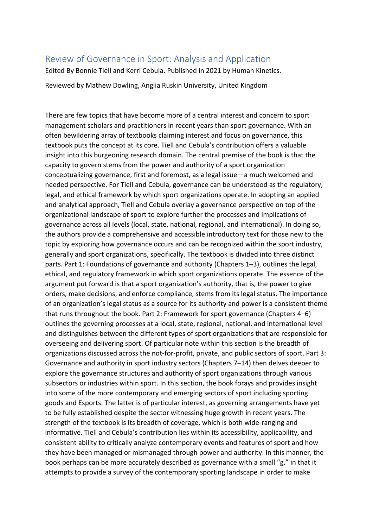## Review of Governance in Sport: Analysis and Application

Edited By Bonnie Tiell and Kerri Cebula. Published in 2021 by Human Kinetics.

Reviewed by Mathew Dowling, Anglia Ruskin University, United Kingdom

There are few topics that have become more of a central interest and concern to sport management scholars and practitioners in recent years than sport governance. With an often bewildering array of textbooks claiming interest and focus on governance, this textbook puts the concept at its core. Tiell and Cebula's contribution offers a valuable insight into this burgeoning research domain. The central premise of the book is that the capacity to govern stems from the power and authority of a sport organization conceptualizing governance, first and foremost, as a legal issue—a much welcomed and needed perspective. For Tiell and Cebula, governance can be understood as the regulatory, legal, and ethical framework by which sport organizations operate. In adopting an applied and analytical approach, Tiell and Cebula overlay a governance perspective on top of the organizational landscape of sport to explore further the processes and implications of governance across all levels (local, state, national, regional, and international). In doing so, the authors provide a comprehensive and accessible introductory text for those new to the topic by exploring how governance occurs and can be recognized within the sport industry, generally and sport organizations, specifically. The textbook is divided into three distinct parts. Part 1: Foundations of governance and authority (Chapters 1–3), outlines the legal, ethical, and regulatory framework in which sport organizations operate. The essence of the argument put forward is that a sport organization's authority, that is, the power to give orders, make decisions, and enforce compliance, stems from its legal status. The importance of an organization's legal status as a source for its authority and power is a consistent theme that runs throughout the book. Part 2: Framework for sport governance (Chapters 4–6) outlines the governing processes at a local, state, regional, national, and international level and distinguishes between the different types of sport organizations that are responsible for overseeing and delivering sport. Of particular note within this section is the breadth of organizations discussed across the not-for-profit, private, and public sectors of sport. Part 3: Governance and authority in sport industry sectors (Chapters 7–14) then delves deeper to explore the governance structures and authority of sport organizations through various subsectors or industries within sport. In this section, the book forays and provides insight into some of the more contemporary and emerging sectors of sport including sporting goods and Esports. The latter is of particular interest, as governing arrangements have yet to be fully established despite the sector witnessing huge growth in recent years. The strength of the textbook is its breadth of coverage, which is both wide-ranging and informative. Tiell and Cebula's contribution lies within its accessibility, applicability, and consistent ability to critically analyze contemporary events and features of sport and how they have been managed or mismanaged through power and authority. In this manner, the book perhaps can be more accurately described as governance with a small "g," in that it attempts to provide a survey of the contemporary sporting landscape in order to make